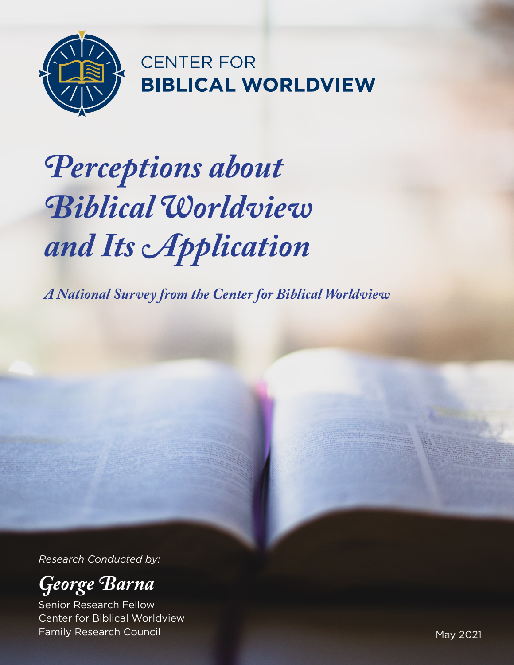

**CENTER FOR BIBLICAL WORLDVIEW** 

# *Perceptions about Biblical Worldview and Its Application*

*A National Survey from the Center for Biblical Worldview*

*Research Conducted by:*



Senior Research Fellow Center for Biblical Worldview Family Research Council May 2021 - The Second May 2021 - All the May 2021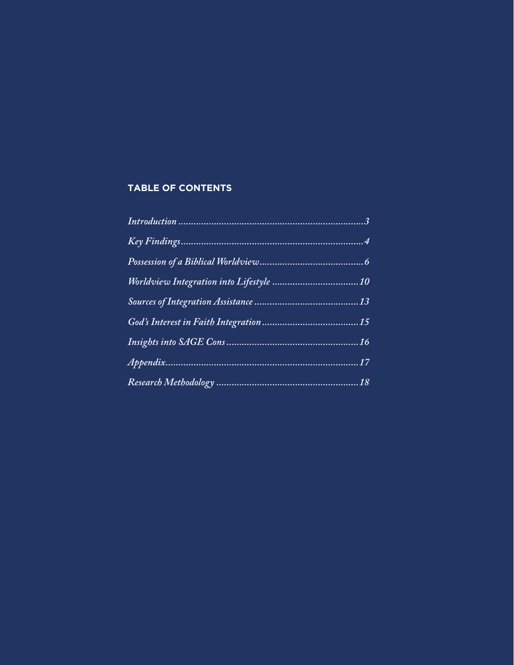# **TABLE OF CONTENTS**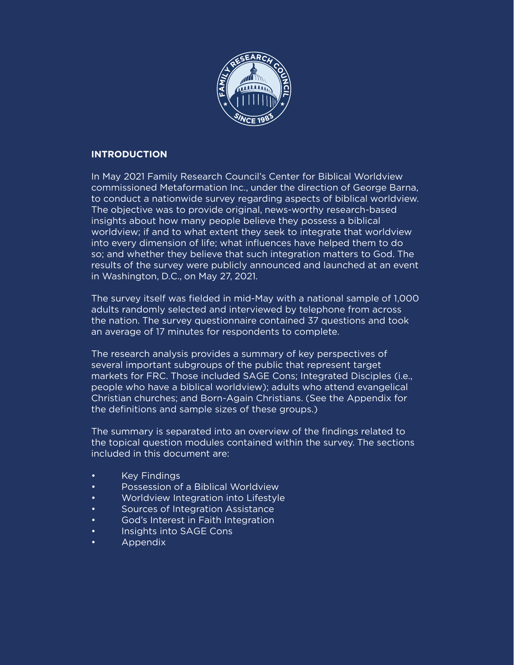

### **INTRODUCTION**

In May 2021 Family Research Council's Center for Biblical Worldview commissioned Metaformation Inc., under the direction of George Barna, to conduct a nationwide survey regarding aspects of biblical worldview. The objective was to provide original, news-worthy research-based insights about how many people believe they possess a biblical worldview; if and to what extent they seek to integrate that worldview into every dimension of life; what influences have helped them to do so; and whether they believe that such integration matters to God. The results of the survey were publicly announced and launched at an event in Washington, D.C., on May 27, 2021.

The survey itself was fielded in mid-May with a national sample of 1,000 adults randomly selected and interviewed by telephone from across the nation. The survey questionnaire contained 37 questions and took an average of 17 minutes for respondents to complete.

The research analysis provides a summary of key perspectives of several important subgroups of the public that represent target markets for FRC. Those included SAGE Cons; Integrated Disciples (i.e., people who have a biblical worldview); adults who attend evangelical Christian churches; and Born-Again Christians. (See the Appendix for the definitions and sample sizes of these groups.)

The summary is separated into an overview of the findings related to the topical question modules contained within the survey. The sections included in this document are:

- **Key Findings**
- Possession of a Biblical Worldview
- Worldview Integration into Lifestyle
- Sources of Integration Assistance
- God's Interest in Faith Integration
- Insights into SAGE Cons
- Appendix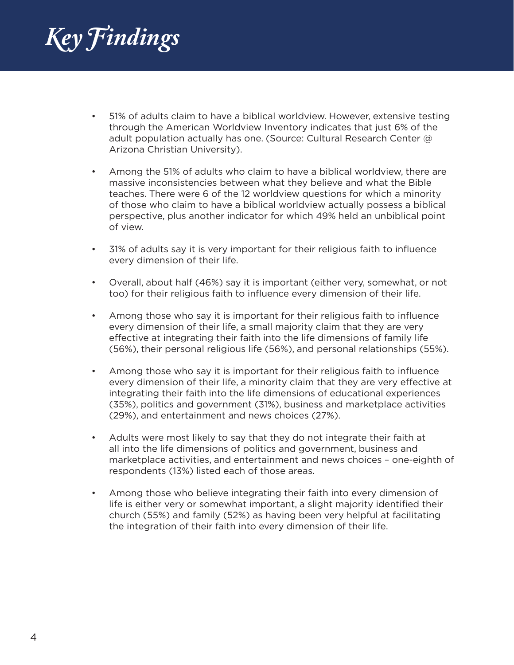*Key Findings*

- 51% of adults claim to have a biblical worldview. However, extensive testing through the American Worldview Inventory indicates that just 6% of the adult population actually has one. (Source: Cultural Research Center @ Arizona Christian University).
- Among the 51% of adults who claim to have a biblical worldview, there are massive inconsistencies between what they believe and what the Bible teaches. There were 6 of the 12 worldview questions for which a minority of those who claim to have a biblical worldview actually possess a biblical perspective, plus another indicator for which 49% held an unbiblical point of view.
- 31% of adults say it is very important for their religious faith to influence every dimension of their life.
- Overall, about half (46%) say it is important (either very, somewhat, or not too) for their religious faith to influence every dimension of their life.
- Among those who say it is important for their religious faith to influence every dimension of their life, a small majority claim that they are very effective at integrating their faith into the life dimensions of family life (56%), their personal religious life (56%), and personal relationships (55%).
- Among those who say it is important for their religious faith to influence every dimension of their life, a minority claim that they are very effective at integrating their faith into the life dimensions of educational experiences (35%), politics and government (31%), business and marketplace activities (29%), and entertainment and news choices (27%).
- Adults were most likely to say that they do not integrate their faith at all into the life dimensions of politics and government, business and marketplace activities, and entertainment and news choices – one-eighth of respondents (13%) listed each of those areas.
- Among those who believe integrating their faith into every dimension of life is either very or somewhat important, a slight majority identified their church (55%) and family (52%) as having been very helpful at facilitating the integration of their faith into every dimension of their life.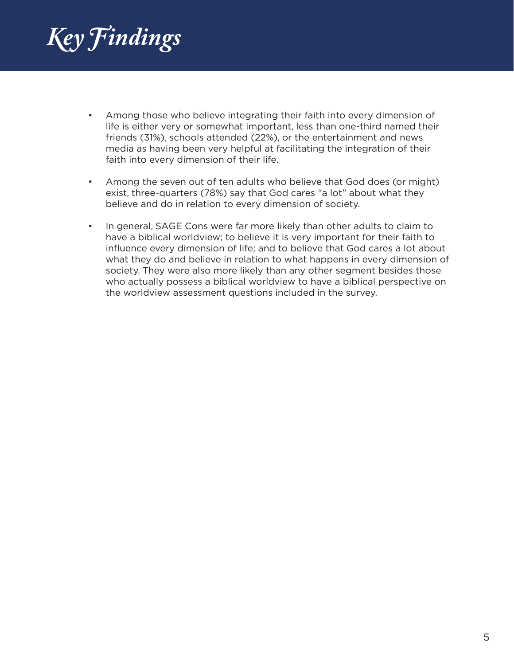*Key Findings*

- Among those who believe integrating their faith into every dimension of life is either very or somewhat important, less than one-third named their friends (31%), schools attended (22%), or the entertainment and news media as having been very helpful at facilitating the integration of their faith into every dimension of their life.
- Among the seven out of ten adults who believe that God does (or might) exist, three-quarters (78%) say that God cares "a lot" about what they believe and do in relation to every dimension of society.
- In general, SAGE Cons were far more likely than other adults to claim to have a biblical worldview; to believe it is very important for their faith to influence every dimension of life; and to believe that God cares a lot about what they do and believe in relation to what happens in every dimension of society. They were also more likely than any other segment besides those who actually possess a biblical worldview to have a biblical perspective on the worldview assessment questions included in the survey.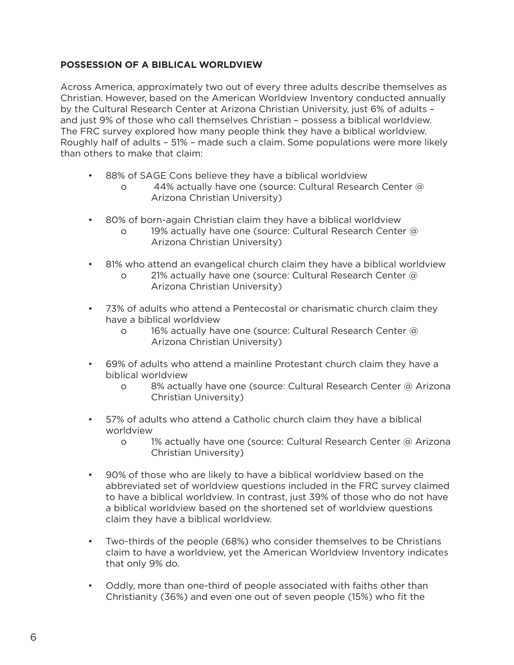# **POSSESSION OF A BIBLICAL WORLDVIEW**

Across America, approximately two out of every three adults describe themselves as Christian. However, based on the American Worldview Inventory conducted annually by the Cultural Research Center at Arizona Christian University, just 6% of adults – and just 9% of those who call themselves Christian – possess a biblical worldview. The FRC survey explored how many people think they have a biblical worldview. Roughly half of adults – 51% – made such a claim. Some populations were more likely than others to make that claim:

- 88% of SAGE Cons believe they have a biblical worldview
	- o 44% actually have one (source: Cultural Research Center @ Arizona Christian University)
- 80% of born-again Christian claim they have a biblical worldview
	- o 19% actually have one (source: Cultural Research Center @ Arizona Christian University)
- 81% who attend an evangelical church claim they have a biblical worldview o 21% actually have one (source: Cultural Research Center @ Arizona Christian University)
- 73% of adults who attend a Pentecostal or charismatic church claim they have a biblical worldview
	- o 16% actually have one (source: Cultural Research Center @ Arizona Christian University)
- 69% of adults who attend a mainline Protestant church claim they have a biblical worldview
	- o 8% actually have one (source: Cultural Research Center @ Arizona Christian University)
- 57% of adults who attend a Catholic church claim they have a biblical worldview
	- o 1% actually have one (source: Cultural Research Center @ Arizona Christian University)
- 90% of those who are likely to have a biblical worldview based on the abbreviated set of worldview questions included in the FRC survey claimed to have a biblical worldview. In contrast, just 39% of those who do not have a biblical worldview based on the shortened set of worldview questions claim they have a biblical worldview.
- Two-thirds of the people (68%) who consider themselves to be Christians claim to have a worldview, yet the American Worldview Inventory indicates that only 9% do.
- Oddly, more than one-third of people associated with faiths other than Christianity (36%) and even one out of seven people (15%) who fit the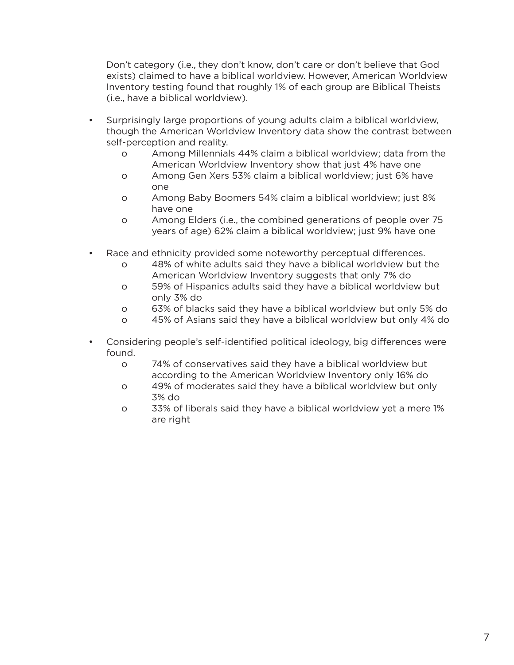Don't category (i.e., they don't know, don't care or don't believe that God exists) claimed to have a biblical worldview. However, American Worldview Inventory testing found that roughly 1% of each group are Biblical Theists (i.e., have a biblical worldview).

- Surprisingly large proportions of young adults claim a biblical worldview, though the American Worldview Inventory data show the contrast between self-perception and reality.
	- o Among Millennials 44% claim a biblical worldview; data from the American Worldview Inventory show that just 4% have one
	- o Among Gen Xers 53% claim a biblical worldview; just 6% have one
	- o Among Baby Boomers 54% claim a biblical worldview; just 8% have one
	- o Among Elders (i.e., the combined generations of people over 75 years of age) 62% claim a biblical worldview; just 9% have one
- Race and ethnicity provided some noteworthy perceptual differences.
	- o 48% of white adults said they have a biblical worldview but the American Worldview Inventory suggests that only 7% do
	- o 59% of Hispanics adults said they have a biblical worldview but only 3% do
	- o 63% of blacks said they have a biblical worldview but only 5% do
	- o 45% of Asians said they have a biblical worldview but only 4% do
- Considering people's self-identified political ideology, big differences were found.
	- o 74% of conservatives said they have a biblical worldview but according to the American Worldview Inventory only 16% do
	- o 49% of moderates said they have a biblical worldview but only 3% do
	- o 33% of liberals said they have a biblical worldview yet a mere 1% are right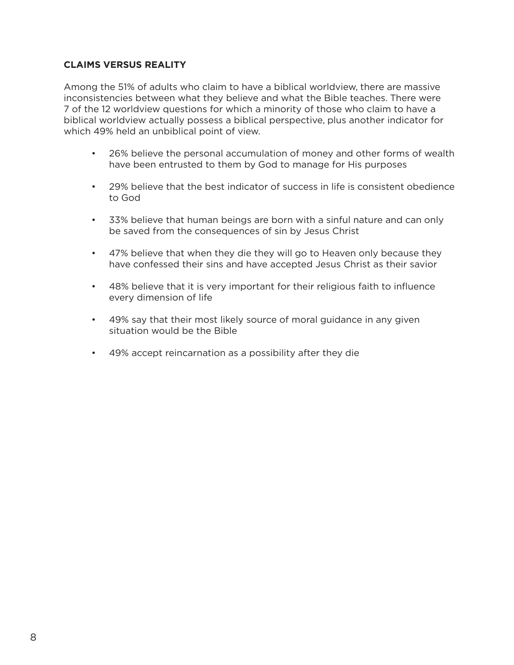# **CLAIMS VERSUS REALITY**

Among the 51% of adults who claim to have a biblical worldview, there are massive inconsistencies between what they believe and what the Bible teaches. There were 7 of the 12 worldview questions for which a minority of those who claim to have a biblical worldview actually possess a biblical perspective, plus another indicator for which 49% held an unbiblical point of view.

- 26% believe the personal accumulation of money and other forms of wealth have been entrusted to them by God to manage for His purposes
- 29% believe that the best indicator of success in life is consistent obedience to God
- 33% believe that human beings are born with a sinful nature and can only be saved from the consequences of sin by Jesus Christ
- 47% believe that when they die they will go to Heaven only because they have confessed their sins and have accepted Jesus Christ as their savior
- 48% believe that it is very important for their religious faith to influence every dimension of life
- 49% say that their most likely source of moral guidance in any given situation would be the Bible
- 49% accept reincarnation as a possibility after they die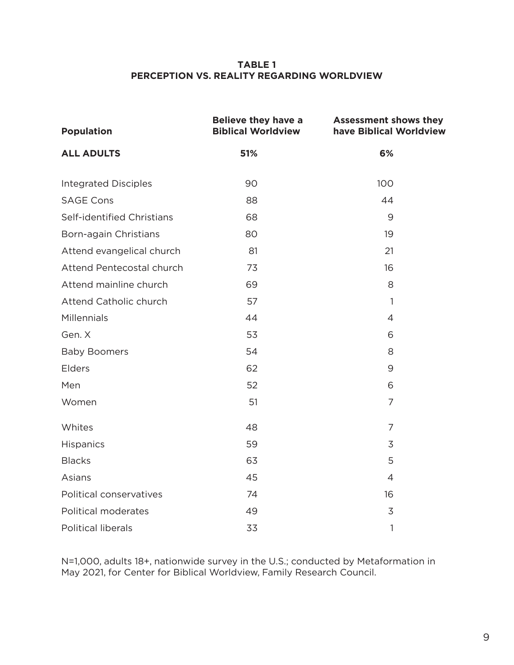#### **TABLE 1 PERCEPTION VS. REALITY REGARDING WORLDVIEW**

| <b>Population</b>           | <b>Believe they have a</b><br><b>Biblical Worldview</b> | <b>Assessment shows they</b><br>have Biblical Worldview |  |
|-----------------------------|---------------------------------------------------------|---------------------------------------------------------|--|
| <b>ALL ADULTS</b>           | 51%                                                     | 6%                                                      |  |
| <b>Integrated Disciples</b> | 90                                                      | 100                                                     |  |
| <b>SAGE Cons</b>            | 88                                                      | 44                                                      |  |
| Self-identified Christians  | 68                                                      | 9                                                       |  |
| Born-again Christians       | 80                                                      | 19                                                      |  |
| Attend evangelical church   | 81                                                      | 21                                                      |  |
| Attend Pentecostal church   | 73                                                      | 16                                                      |  |
| Attend mainline church      | 69                                                      | 8                                                       |  |
| Attend Catholic church      | 57                                                      | $\mathbf{1}$                                            |  |
| Millennials                 | 44                                                      | $\overline{4}$                                          |  |
| Gen. X                      | 53                                                      | 6                                                       |  |
| <b>Baby Boomers</b>         | 54                                                      | 8                                                       |  |
| Elders                      | 62                                                      | 9                                                       |  |
| Men                         | 52                                                      | 6                                                       |  |
| Women                       | 51                                                      | $\overline{7}$                                          |  |
| Whites                      | 48                                                      | $\overline{7}$                                          |  |
| Hispanics                   | 59                                                      | 3                                                       |  |
| <b>Blacks</b>               | 63                                                      | 5                                                       |  |
| Asians                      | 45                                                      | $\overline{4}$                                          |  |
| Political conservatives     | 74                                                      | 16                                                      |  |
| Political moderates         | 49                                                      | 3                                                       |  |
| <b>Political liberals</b>   | 33                                                      | $\mathbf{1}$                                            |  |

N=1,000, adults 18+, nationwide survey in the U.S.; conducted by Metaformation in May 2021, for Center for Biblical Worldview, Family Research Council.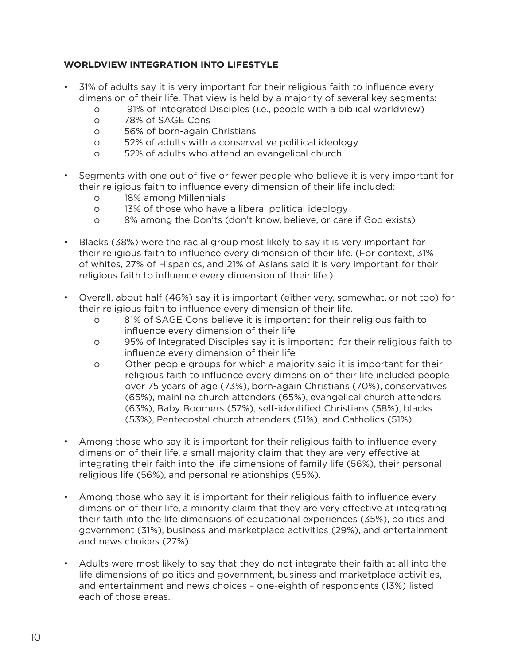# **WORLDVIEW INTEGRATION INTO LIFESTYLE**

- 31% of adults say it is very important for their religious faith to influence every dimension of their life. That view is held by a majority of several key segments:
	- o 91% of Integrated Disciples (i.e., people with a biblical worldview)
	- o 78% of SAGE Cons
	- o 56% of born-again Christians
	- o 52% of adults with a conservative political ideology
	- o 52% of adults who attend an evangelical church
- Segments with one out of five or fewer people who believe it is very important for their religious faith to influence every dimension of their life included:
	- o 18% among Millennials
	- o 13% of those who have a liberal political ideology
	- o 8% among the Don'ts (don't know, believe, or care if God exists)
- Blacks (38%) were the racial group most likely to say it is very important for their religious faith to influence every dimension of their life. (For context, 31% of whites, 27% of Hispanics, and 21% of Asians said it is very important for their religious faith to influence every dimension of their life.)
- Overall, about half (46%) say it is important (either very, somewhat, or not too) for their religious faith to influence every dimension of their life.
	- o 81% of SAGE Cons believe it is important for their religious faith to influence every dimension of their life
	- o 95% of Integrated Disciples say it is important for their religious faith to influence every dimension of their life
	- o Other people groups for which a majority said it is important for their religious faith to influence every dimension of their life included people over 75 years of age (73%), born-again Christians (70%), conservatives (65%), mainline church attenders (65%), evangelical church attenders (63%), Baby Boomers (57%), self-identified Christians (58%), blacks (53%), Pentecostal church attenders (51%), and Catholics (51%).
- Among those who say it is important for their religious faith to influence every dimension of their life, a small majority claim that they are very effective at integrating their faith into the life dimensions of family life (56%), their personal religious life (56%), and personal relationships (55%).
- Among those who say it is important for their religious faith to influence every dimension of their life, a minority claim that they are very effective at integrating their faith into the life dimensions of educational experiences (35%), politics and government (31%), business and marketplace activities (29%), and entertainment and news choices (27%).
- Adults were most likely to say that they do not integrate their faith at all into the life dimensions of politics and government, business and marketplace activities, and entertainment and news choices – one-eighth of respondents (13%) listed each of those areas.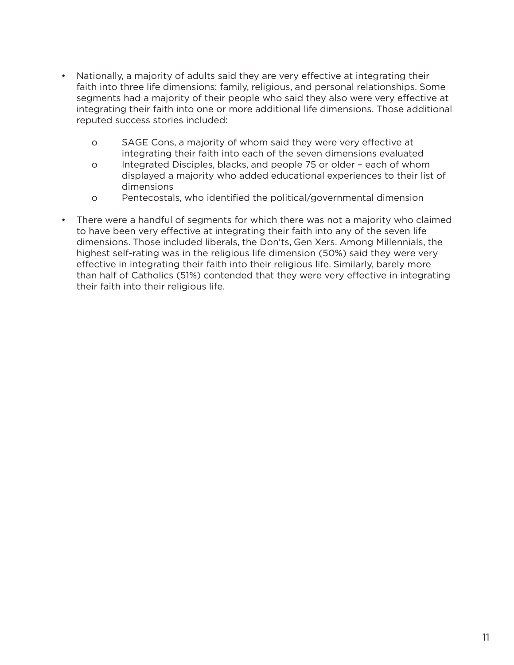- Nationally, a majority of adults said they are very effective at integrating their faith into three life dimensions: family, religious, and personal relationships. Some segments had a majority of their people who said they also were very effective at integrating their faith into one or more additional life dimensions. Those additional reputed success stories included:
	- o SAGE Cons, a majority of whom said they were very effective at integrating their faith into each of the seven dimensions evaluated
	- o Integrated Disciples, blacks, and people 75 or older each of whom displayed a majority who added educational experiences to their list of dimensions
	- o Pentecostals, who identified the political/governmental dimension
- There were a handful of segments for which there was not a majority who claimed to have been very effective at integrating their faith into any of the seven life dimensions. Those included liberals, the Don'ts, Gen Xers. Among Millennials, the highest self-rating was in the religious life dimension (50%) said they were very effective in integrating their faith into their religious life. Similarly, barely more than half of Catholics (51%) contended that they were very effective in integrating their faith into their religious life.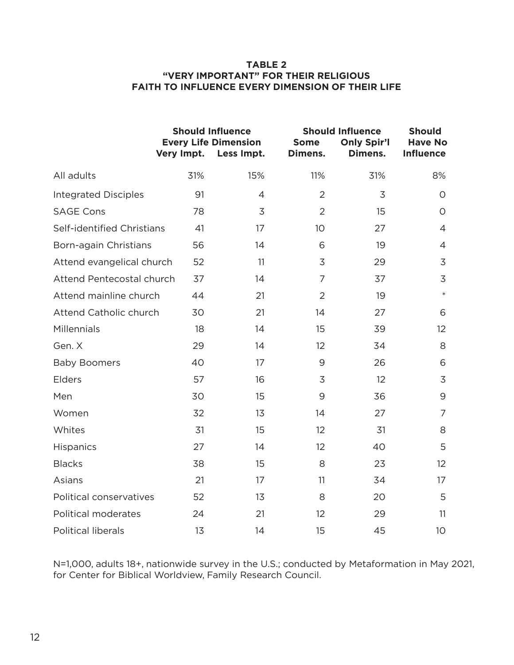#### **TABLE 2 "VERY IMPORTANT" FOR THEIR RELIGIOUS FAITH TO INFLUENCE EVERY DIMENSION OF THEIR LIFE**

|                             | Very Impt. | <b>Should Influence</b><br><b>Every Life Dimension</b><br>Less Impt. | <b>Some</b><br>Dimens. | <b>Should Influence</b><br><b>Only Spir'l</b><br>Dimens. | <b>Should</b><br><b>Have No</b><br><b>Influence</b> |
|-----------------------------|------------|----------------------------------------------------------------------|------------------------|----------------------------------------------------------|-----------------------------------------------------|
| All adults                  | 31%        | 15%                                                                  | 11%                    | 31%                                                      | 8%                                                  |
| <b>Integrated Disciples</b> | 91         | $\overline{4}$                                                       | $\overline{2}$         | 3                                                        | $\circ$                                             |
| <b>SAGE Cons</b>            | 78         | 3                                                                    | $\overline{2}$         | 15                                                       | $\overline{O}$                                      |
| Self-identified Christians  | 41         | 17                                                                   | 10 <sup>°</sup>        | 27                                                       | $\overline{4}$                                      |
| Born-again Christians       | 56         | 14                                                                   | 6                      | 19                                                       | $\overline{4}$                                      |
| Attend evangelical church   | 52         | 11                                                                   | 3                      | 29                                                       | 3                                                   |
| Attend Pentecostal church   | 37         | 14                                                                   | 7                      | 37                                                       | 3                                                   |
| Attend mainline church      | 44         | 21                                                                   | $\overline{2}$         | 19                                                       | $\ast$                                              |
| Attend Catholic church      | 30         | 21                                                                   | 14                     | 27                                                       | 6                                                   |
| Millennials                 | 18         | 14                                                                   | 15                     | 39                                                       | 12 <sup>2</sup>                                     |
| Gen. X                      | 29         | 14                                                                   | 12                     | 34                                                       | 8                                                   |
| <b>Baby Boomers</b>         | 40         | 17                                                                   | 9                      | 26                                                       | 6                                                   |
| Elders                      | 57         | 16                                                                   | 3                      | 12                                                       | 3                                                   |
| Men                         | 30         | 15                                                                   | 9                      | 36                                                       | 9                                                   |
| Women                       | 32         | 13                                                                   | 14                     | 27                                                       | $\overline{7}$                                      |
| Whites                      | 31         | 15                                                                   | 12                     | 31                                                       | 8                                                   |
| <b>Hispanics</b>            | 27         | 14                                                                   | 12                     | 40                                                       | 5                                                   |
| <b>Blacks</b>               | 38         | 15                                                                   | 8                      | 23                                                       | 12                                                  |
| Asians                      | 21         | 17                                                                   | 11                     | 34                                                       | 17                                                  |
| Political conservatives     | 52         | 13                                                                   | 8                      | 20                                                       | 5                                                   |
| Political moderates         | 24         | 21                                                                   | 12                     | 29                                                       | 11                                                  |
| <b>Political liberals</b>   | 13         | 14                                                                   | 15                     | 45                                                       | 10 <sup>°</sup>                                     |

N=1,000, adults 18+, nationwide survey in the U.S.; conducted by Metaformation in May 2021, for Center for Biblical Worldview, Family Research Council.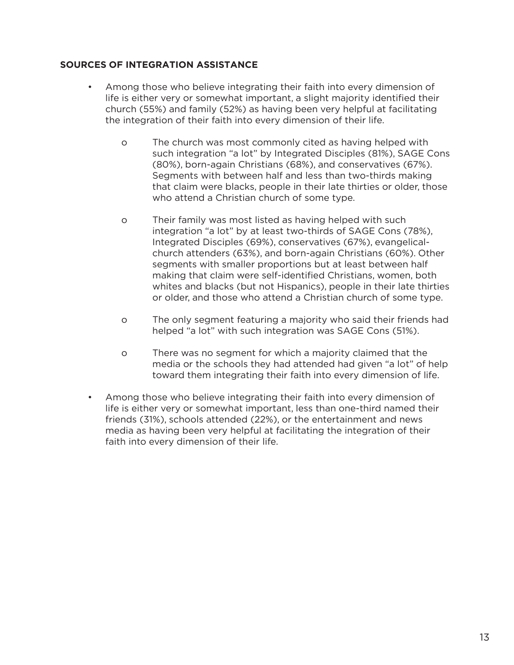## **SOURCES OF INTEGRATION ASSISTANCE**

- Among those who believe integrating their faith into every dimension of life is either very or somewhat important, a slight majority identified their church (55%) and family (52%) as having been very helpful at facilitating the integration of their faith into every dimension of their life.
	- o The church was most commonly cited as having helped with such integration "a lot" by Integrated Disciples (81%), SAGE Cons (80%), born-again Christians (68%), and conservatives (67%). Segments with between half and less than two-thirds making that claim were blacks, people in their late thirties or older, those who attend a Christian church of some type.
	- o Their family was most listed as having helped with such integration "a lot" by at least two-thirds of SAGE Cons (78%), Integrated Disciples (69%), conservatives (67%), evangelicalchurch attenders (63%), and born-again Christians (60%). Other segments with smaller proportions but at least between half making that claim were self-identified Christians, women, both whites and blacks (but not Hispanics), people in their late thirties or older, and those who attend a Christian church of some type.
	- o The only segment featuring a majority who said their friends had helped "a lot" with such integration was SAGE Cons (51%).
	- o There was no segment for which a majority claimed that the media or the schools they had attended had given "a lot" of help toward them integrating their faith into every dimension of life.
- Among those who believe integrating their faith into every dimension of life is either very or somewhat important, less than one-third named their friends (31%), schools attended (22%), or the entertainment and news media as having been very helpful at facilitating the integration of their faith into every dimension of their life.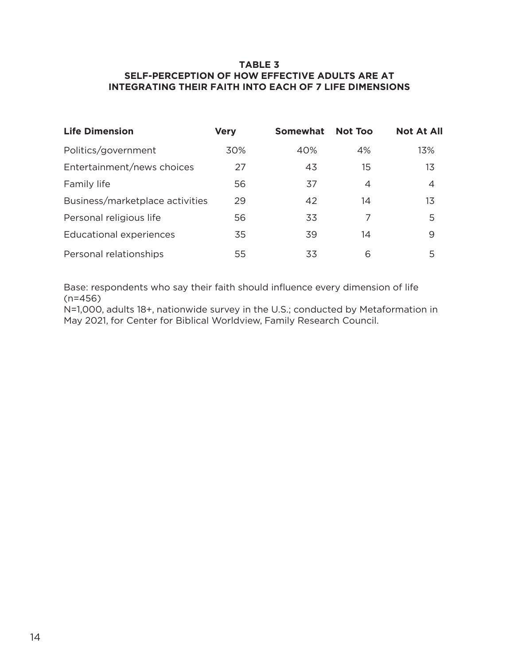### **TABLE 3 SELF-PERCEPTION OF HOW EFFECTIVE ADULTS ARE AT INTEGRATING THEIR FAITH INTO EACH OF 7 LIFE DIMENSIONS**

| <b>Life Dimension</b>           | <b>Very</b> | <b>Somewhat</b> | <b>Not Too</b> | <b>Not At All</b> |
|---------------------------------|-------------|-----------------|----------------|-------------------|
| Politics/government             | 30%         | 40%             | 4%             | 13%               |
| Entertainment/news choices      | 27          | 43              | 15             | 13                |
| Family life                     | 56          | 37              | 4              | 4                 |
| Business/marketplace activities | 29          | 42              | 14             | 13                |
| Personal religious life         | 56          | 33              | 7              | 5                 |
| Educational experiences         | 35          | 39              | 14             | 9                 |
| Personal relationships          | 55          | 33              | 6              | 5                 |

Base: respondents who say their faith should influence every dimension of life (n=456)

N=1,000, adults 18+, nationwide survey in the U.S.; conducted by Metaformation in May 2021, for Center for Biblical Worldview, Family Research Council.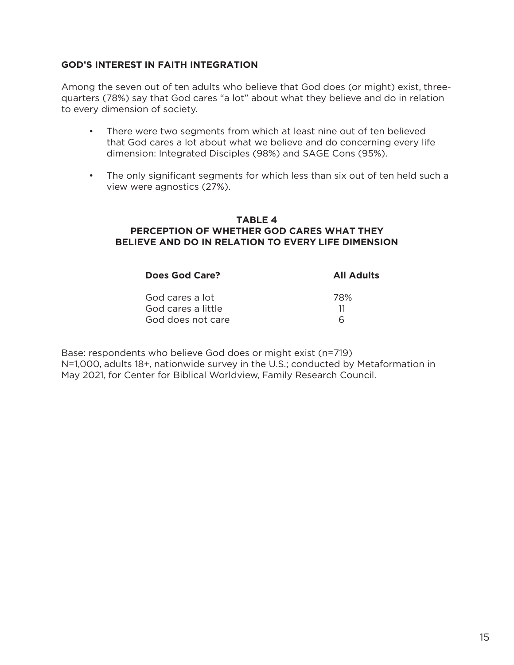## **GOD'S INTEREST IN FAITH INTEGRATION**

Among the seven out of ten adults who believe that God does (or might) exist, threequarters (78%) say that God cares "a lot" about what they believe and do in relation to every dimension of society.

- There were two segments from which at least nine out of ten believed that God cares a lot about what we believe and do concerning every life dimension: Integrated Disciples (98%) and SAGE Cons (95%).
- The only significant segments for which less than six out of ten held such a view were agnostics (27%).

#### **TABLE 4 PERCEPTION OF WHETHER GOD CARES WHAT THEY BELIEVE AND DO IN RELATION TO EVERY LIFE DIMENSION**

| Does God Care?     | <b>All Adults</b> |
|--------------------|-------------------|
| God cares a lot    | 78%               |
| God cares a little | 11                |
| God does not care  | h                 |

Base: respondents who believe God does or might exist (n=719) N=1,000, adults 18+, nationwide survey in the U.S.; conducted by Metaformation in May 2021, for Center for Biblical Worldview, Family Research Council.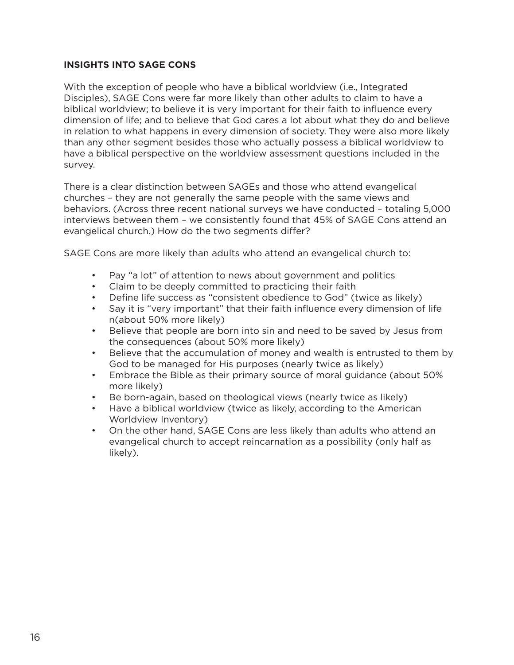## **INSIGHTS INTO SAGE CONS**

With the exception of people who have a biblical worldview (i.e., Integrated Disciples), SAGE Cons were far more likely than other adults to claim to have a biblical worldview; to believe it is very important for their faith to influence every dimension of life; and to believe that God cares a lot about what they do and believe in relation to what happens in every dimension of society. They were also more likely than any other segment besides those who actually possess a biblical worldview to have a biblical perspective on the worldview assessment questions included in the survey.

There is a clear distinction between SAGEs and those who attend evangelical churches – they are not generally the same people with the same views and behaviors. (Across three recent national surveys we have conducted – totaling 5,000 interviews between them – we consistently found that 45% of SAGE Cons attend an evangelical church.) How do the two segments differ?

SAGE Cons are more likely than adults who attend an evangelical church to:

- Pay "a lot" of attention to news about government and politics
- Claim to be deeply committed to practicing their faith
- Define life success as "consistent obedience to God" (twice as likely)
- Say it is "very important" that their faith influence every dimension of life n(about 50% more likely)
- Believe that people are born into sin and need to be saved by Jesus from the consequences (about 50% more likely)
- Believe that the accumulation of money and wealth is entrusted to them by God to be managed for His purposes (nearly twice as likely)
- Embrace the Bible as their primary source of moral guidance (about 50% more likely)
- Be born-again, based on theological views (nearly twice as likely)
- Have a biblical worldview (twice as likely, according to the American Worldview Inventory)
- On the other hand, SAGE Cons are less likely than adults who attend an evangelical church to accept reincarnation as a possibility (only half as likely).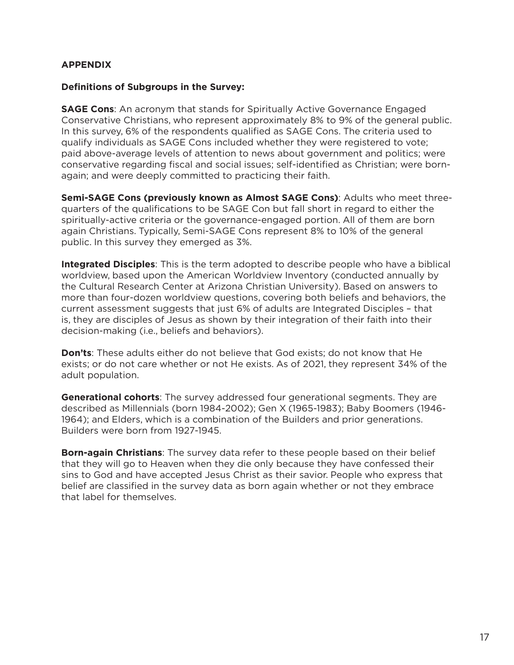# **APPENDIX**

#### **Definitions of Subgroups in the Survey:**

**SAGE Cons**: An acronym that stands for Spiritually Active Governance Engaged Conservative Christians, who represent approximately 8% to 9% of the general public. In this survey, 6% of the respondents qualified as SAGE Cons. The criteria used to qualify individuals as SAGE Cons included whether they were registered to vote; paid above-average levels of attention to news about government and politics; were conservative regarding fiscal and social issues; self-identified as Christian; were bornagain; and were deeply committed to practicing their faith.

**Semi-SAGE Cons (previously known as Almost SAGE Cons)**: Adults who meet threequarters of the qualifications to be SAGE Con but fall short in regard to either the spiritually-active criteria or the governance-engaged portion. All of them are born again Christians. Typically, Semi-SAGE Cons represent 8% to 10% of the general public. In this survey they emerged as 3%.

**Integrated Disciples**: This is the term adopted to describe people who have a biblical worldview, based upon the American Worldview Inventory (conducted annually by the Cultural Research Center at Arizona Christian University). Based on answers to more than four-dozen worldview questions, covering both beliefs and behaviors, the current assessment suggests that just 6% of adults are Integrated Disciples – that is, they are disciples of Jesus as shown by their integration of their faith into their decision-making (i.e., beliefs and behaviors).

**Don'ts**: These adults either do not believe that God exists; do not know that He exists; or do not care whether or not He exists. As of 2021, they represent 34% of the adult population.

**Generational cohorts**: The survey addressed four generational segments. They are described as Millennials (born 1984-2002); Gen X (1965-1983); Baby Boomers (1946- 1964); and Elders, which is a combination of the Builders and prior generations. Builders were born from 1927-1945.

**Born-again Christians**: The survey data refer to these people based on their belief that they will go to Heaven when they die only because they have confessed their sins to God and have accepted Jesus Christ as their savior. People who express that belief are classified in the survey data as born again whether or not they embrace that label for themselves.